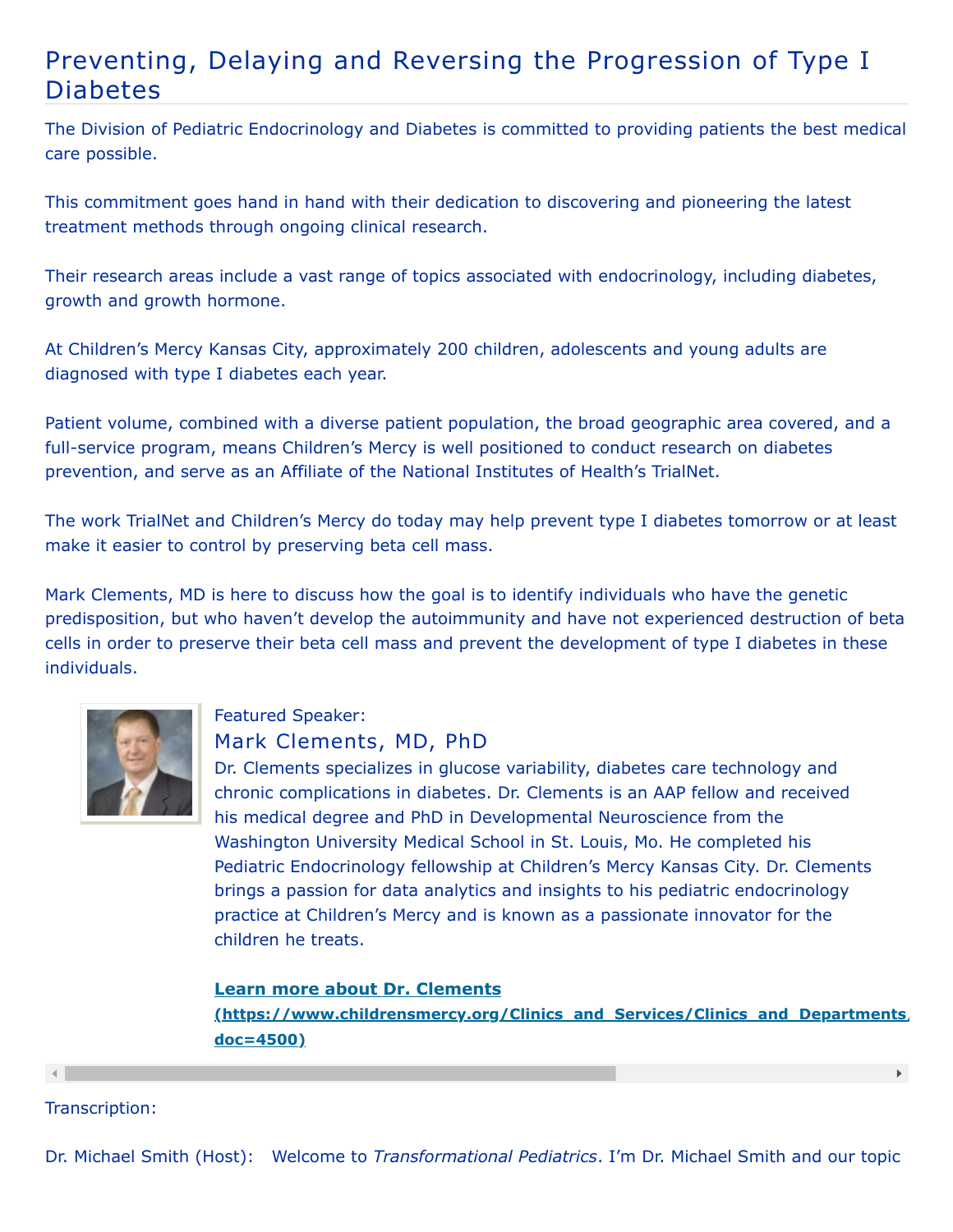## Preventing, Delaying and Reversing the Progression of Type I Diabetes

The Division of Pediatric Endocrinology and Diabetes is committed to providing patients the best medical care possible.

This commitment goes hand in hand with their dedication to discovering and pioneering the latest treatment methods through ongoing clinical research.

Their research areas include a vast range of topics associated with endocrinology, including diabetes, growth and growth hormone.

At Children's Mercy Kansas City, approximately 200 children, adolescents and young adults are diagnosed with type I diabetes each year.

Patient volume, combined with a diverse patient population, the broad geographic area covered, and a full-service program, means Children's Mercy is well positioned to conduct research on diabetes prevention, and serve as an Affiliate of the National Institutes of Health's TrialNet.

The work TrialNet and Children's Mercy do today may help prevent type I diabetes tomorrow or at least make it easier to control by preserving beta cell mass.

Mark Clements, MD is here to discuss how the goal is to identify individuals who have the genetic predisposition, but who haven't develop the autoimmunity and have not experienced destruction of beta cells in order to preserve their beta cell mass and prevent the development of type I diabetes in these individuals.



## Featured Speaker:

## Mark Clements, MD, PhD

Dr. Clements specializes in glucose variability, diabetes care technology and chronic complications in diabetes. Dr. Clements is an AAP fellow and received his medical degree and PhD in Developmental Neuroscience from the Washington University Medical School in St. Louis, Mo. He completed his Pediatric Endocrinology fellowship at Children's Mercy Kansas City. Dr. Clements brings a passion for data analytics and insights to his pediatric endocrinology practice at Children's Mercy and is known as a passionate innovator for the children he treats.

## **Learn more about Dr. Clements**

**[\(https://www.childrensmercy.org/Clinics\\_and\\_Services/Clinics\\_and\\_Departments/](https://www.childrensmercy.org/Clinics_and_Services/Clinics_and_Departments/Endocrinology_and_Diabetes/Faculty_and_Staff/?doc=4500) doc=4500)**

 $\mathbf{F}$ 

Transcription: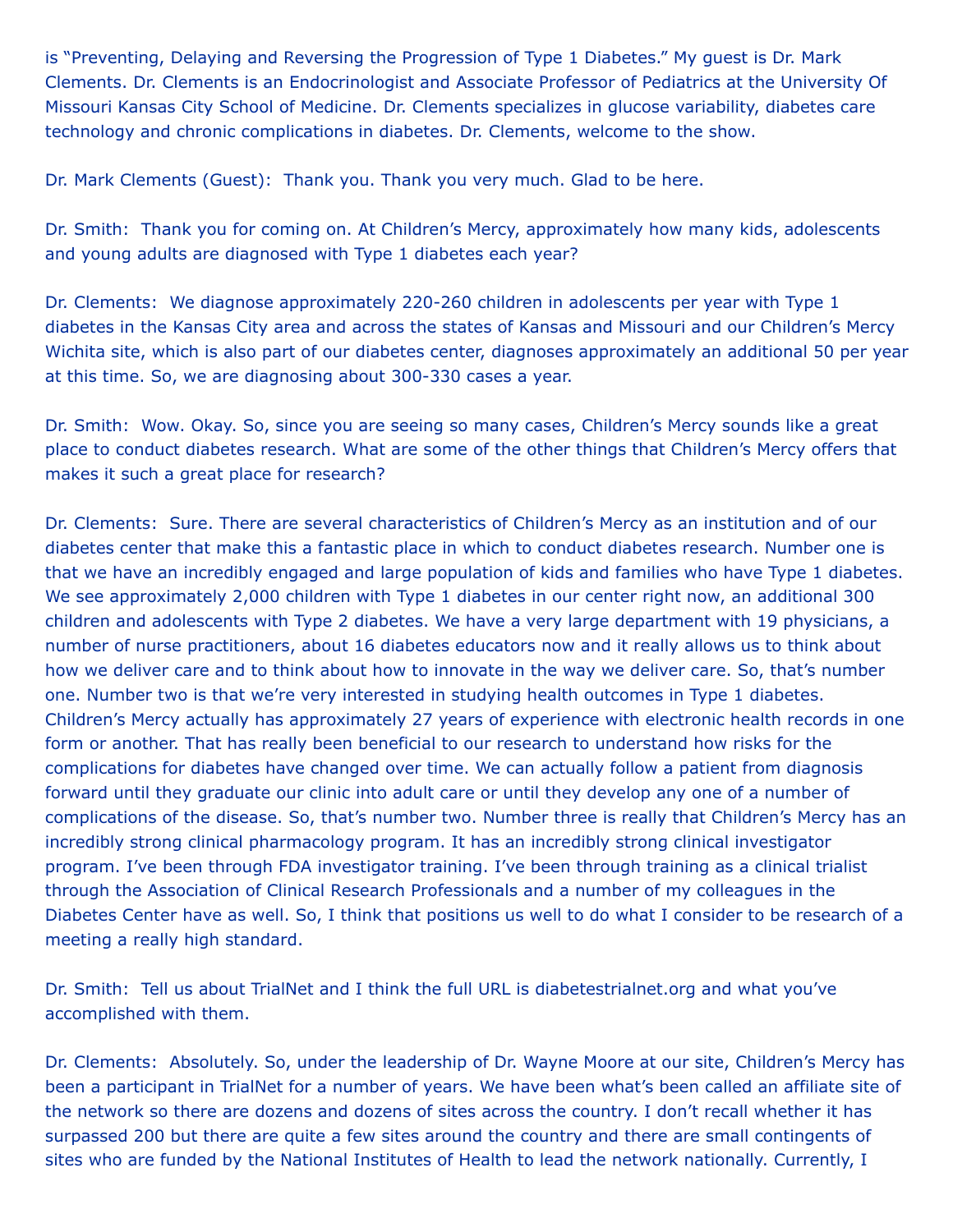is "Preventing, Delaying and Reversing the Progression of Type 1 Diabetes." My guest is Dr. Mark Clements. Dr. Clements is an Endocrinologist and Associate Professor of Pediatrics at the University Of Missouri Kansas City School of Medicine. Dr. Clements specializes in glucose variability, diabetes care technology and chronic complications in diabetes. Dr. Clements, welcome to the show.

Dr. Mark Clements (Guest): Thank you. Thank you very much. Glad to be here.

Dr. Smith: Thank you for coming on. At Children's Mercy, approximately how many kids, adolescents and young adults are diagnosed with Type 1 diabetes each year?

Dr. Clements: We diagnose approximately 220-260 children in adolescents per year with Type 1 diabetes in the Kansas City area and across the states of Kansas and Missouri and our Children's Mercy Wichita site, which is also part of our diabetes center, diagnoses approximately an additional 50 per year at this time. So, we are diagnosing about 300-330 cases a year.

Dr. Smith: Wow. Okay. So, since you are seeing so many cases, Children's Mercy sounds like a great place to conduct diabetes research. What are some of the other things that Children's Mercy offers that makes it such a great place for research?

Dr. Clements: Sure. There are several characteristics of Children's Mercy as an institution and of our diabetes center that make this a fantastic place in which to conduct diabetes research. Number one is that we have an incredibly engaged and large population of kids and families who have Type 1 diabetes. We see approximately 2,000 children with Type 1 diabetes in our center right now, an additional 300 children and adolescents with Type 2 diabetes. We have a very large department with 19 physicians, a number of nurse practitioners, about 16 diabetes educators now and it really allows us to think about how we deliver care and to think about how to innovate in the way we deliver care. So, that's number one. Number two is that we're very interested in studying health outcomes in Type 1 diabetes. Children's Mercy actually has approximately 27 years of experience with electronic health records in one form or another. That has really been beneficial to our research to understand how risks for the complications for diabetes have changed over time. We can actually follow a patient from diagnosis forward until they graduate our clinic into adult care or until they develop any one of a number of complications of the disease. So, that's number two. Number three is really that Children's Mercy has an incredibly strong clinical pharmacology program. It has an incredibly strong clinical investigator program. I've been through FDA investigator training. I've been through training as a clinical trialist through the Association of Clinical Research Professionals and a number of my colleagues in the Diabetes Center have as well. So, I think that positions us well to do what I consider to be research of a meeting a really high standard.

Dr. Smith: Tell us about TrialNet and I think the full URL is diabetestrialnet.org and what you've accomplished with them.

Dr. Clements: Absolutely. So, under the leadership of Dr. Wayne Moore at our site, Children's Mercy has been a participant in TrialNet for a number of years. We have been what's been called an affiliate site of the network so there are dozens and dozens of sites across the country. I don't recall whether it has surpassed 200 but there are quite a few sites around the country and there are small contingents of sites who are funded by the National Institutes of Health to lead the network nationally. Currently, I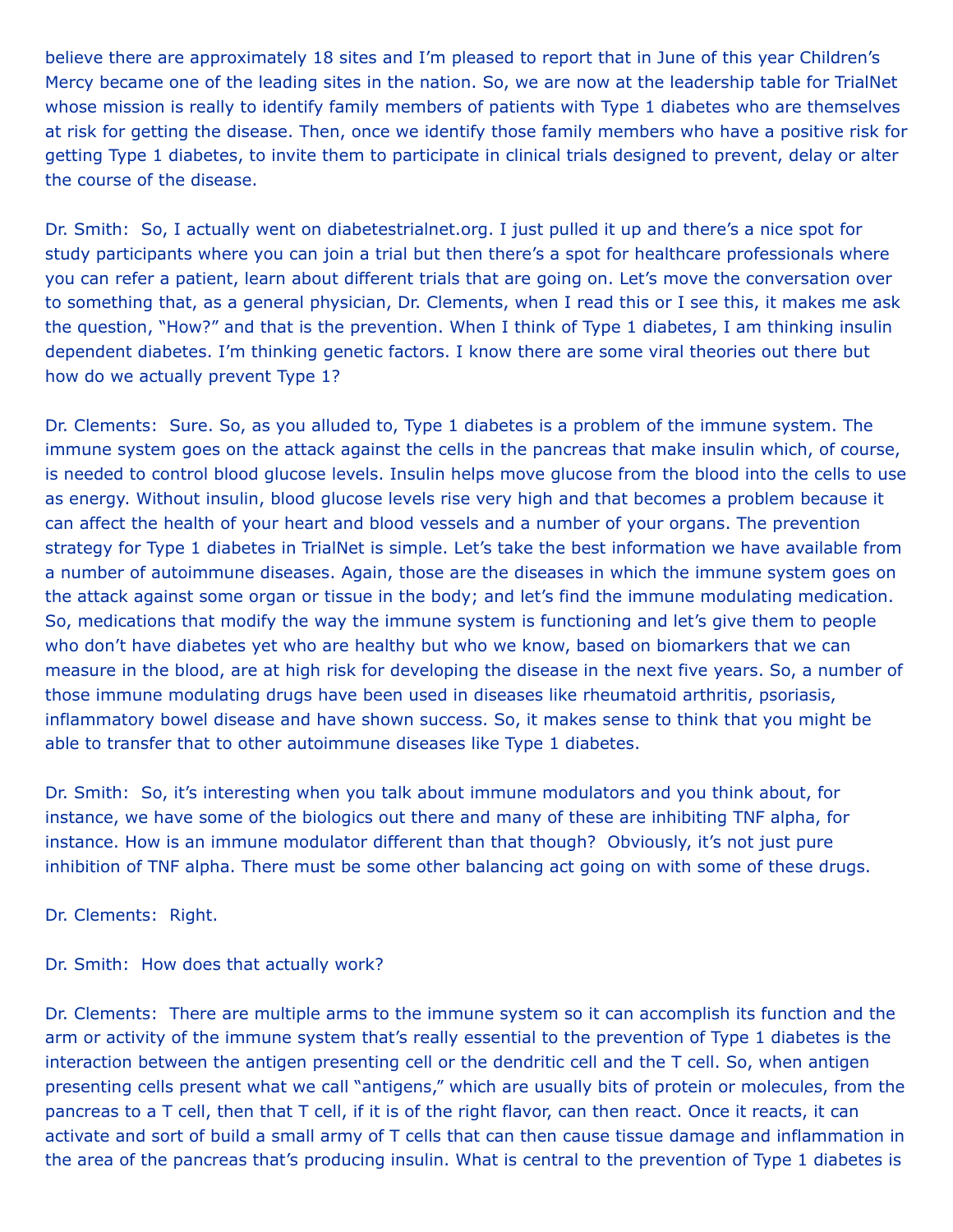believe there are approximately 18 sites and I'm pleased to report that in June of this year Children's Mercy became one of the leading sites in the nation. So, we are now at the leadership table for TrialNet whose mission is really to identify family members of patients with Type 1 diabetes who are themselves at risk for getting the disease. Then, once we identify those family members who have a positive risk for getting Type 1 diabetes, to invite them to participate in clinical trials designed to prevent, delay or alter the course of the disease.

Dr. Smith: So, I actually went on diabetestrialnet.org. I just pulled it up and there's a nice spot for study participants where you can join a trial but then there's a spot for healthcare professionals where you can refer a patient, learn about different trials that are going on. Let's move the conversation over to something that, as a general physician, Dr. Clements, when I read this or I see this, it makes me ask the question, "How?" and that is the prevention. When I think of Type 1 diabetes, I am thinking insulin dependent diabetes. I'm thinking genetic factors. I know there are some viral theories out there but how do we actually prevent Type 1?

Dr. Clements: Sure. So, as you alluded to, Type 1 diabetes is a problem of the immune system. The immune system goes on the attack against the cells in the pancreas that make insulin which, of course, is needed to control blood glucose levels. Insulin helps move glucose from the blood into the cells to use as energy. Without insulin, blood glucose levels rise very high and that becomes a problem because it can affect the health of your heart and blood vessels and a number of your organs. The prevention strategy for Type 1 diabetes in TrialNet is simple. Let's take the best information we have available from a number of autoimmune diseases. Again, those are the diseases in which the immune system goes on the attack against some organ or tissue in the body; and let's find the immune modulating medication. So, medications that modify the way the immune system is functioning and let's give them to people who don't have diabetes yet who are healthy but who we know, based on biomarkers that we can measure in the blood, are at high risk for developing the disease in the next five years. So, a number of those immune modulating drugs have been used in diseases like rheumatoid arthritis, psoriasis, inflammatory bowel disease and have shown success. So, it makes sense to think that you might be able to transfer that to other autoimmune diseases like Type 1 diabetes.

Dr. Smith: So, it's interesting when you talk about immune modulators and you think about, for instance, we have some of the biologics out there and many of these are inhibiting TNF alpha, for instance. How is an immune modulator different than that though? Obviously, it's not just pure inhibition of TNF alpha. There must be some other balancing act going on with some of these drugs.

Dr. Clements: Right.

Dr. Smith: How does that actually work?

Dr. Clements: There are multiple arms to the immune system so it can accomplish its function and the arm or activity of the immune system that's really essential to the prevention of Type 1 diabetes is the interaction between the antigen presenting cell or the dendritic cell and the T cell. So, when antigen presenting cells present what we call "antigens," which are usually bits of protein or molecules, from the pancreas to a T cell, then that T cell, if it is of the right flavor, can then react. Once it reacts, it can activate and sort of build a small army of T cells that can then cause tissue damage and inflammation in the area of the pancreas that's producing insulin. What is central to the prevention of Type 1 diabetes is